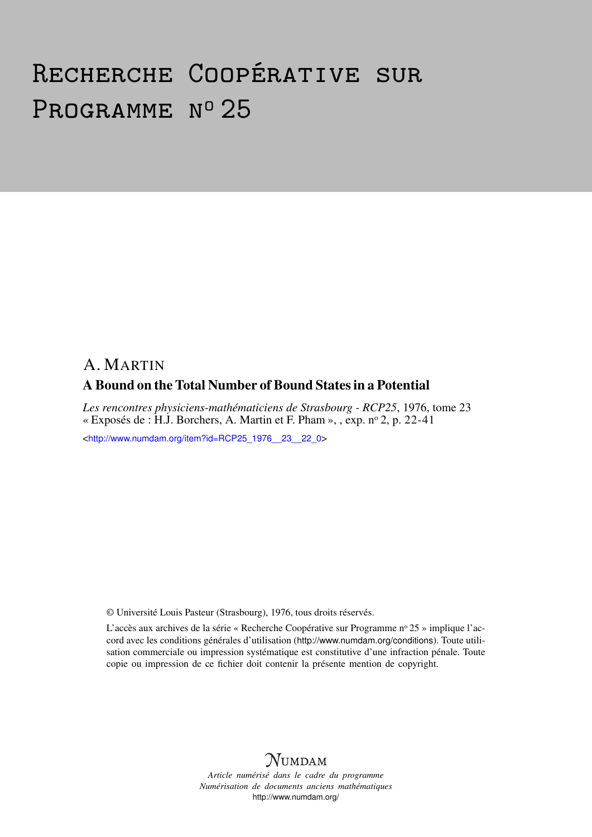# Recherche Coopérative sur PROGRAMME Nº 25

# A. MARTIN A Bound on the Total Number of Bound States in a Potential

*Les rencontres physiciens-mathématiciens de Strasbourg - RCP25*, 1976, tome 23 « Exposés de : H.J. Borchers, A. Martin et F. Pham », , exp.  $n^{\circ}$  2, p. 22-41

<[http://www.numdam.org/item?id=RCP25\\_1976\\_\\_23\\_\\_22\\_0](http://www.numdam.org/item?id=RCP25_1976__23__22_0)>

© Université Louis Pasteur (Strasbourg), 1976, tous droits réservés.

L'accès aux archives de la série « Recherche Coopérative sur Programme n° 25 » implique l'accord avec les conditions générales d'utilisation (<http://www.numdam.org/conditions>). Toute utilisation commerciale ou impression systématique est constitutive d'une infraction pénale. Toute copie ou impression de ce fichier doit contenir la présente mention de copyright.



*Article numérisé dans le cadre du programme Numérisation de documents anciens mathématiques* <http://www.numdam.org/>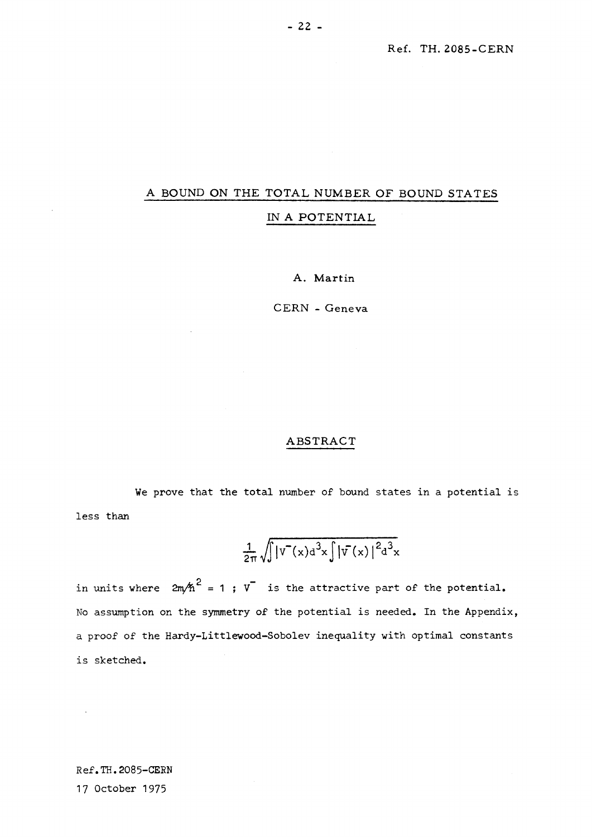# **A BOUND ON THE TOTAL NUMBER OF BOUND STATES IN A POTENTIAL**

**A. Martin** 

**CERN - Geneva** 

## **ABSTRACT**

We prove that the total number of bound states in a potential is less than

$$
\frac{1}{2\pi}\sqrt{\int |V^-(x) d^3x \int |V^-(x)|^2 d^3x}
$$

in units where  $2m/h^2 = 1$ ;  $v^-$  is the attractive part of the potential. No assumption on the symmetry of the potential is needed. In the Appendix, a proof of the Hardy-Littlewood-Sobolev inequality with optimal constants is sketched.

Ref.TH.2085-CERN 17 October 1975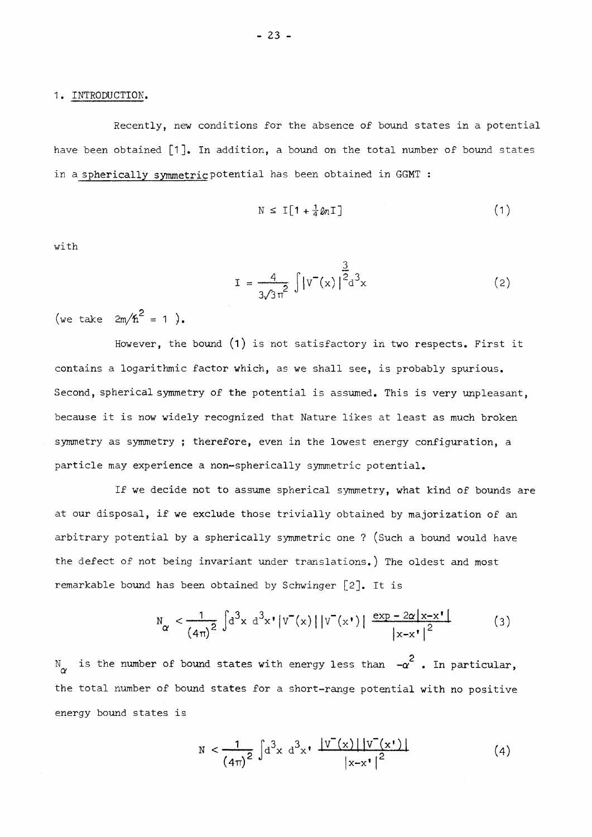#### 1. INTRODUCTION.

Recently, new conditions for the absence of bound states in a potential have been obtained  $\lceil 1 \rceil$ . In addition, a bound on the total number of bound states in a spherically symmetric potential has been obtained in GGMT :

$$
N \leq I \left[ 1 + \frac{1}{4} \ln I \right] \tag{1}
$$

with

$$
I = \frac{4}{3\sqrt{3}\pi^{2}} \int |v^{-}(x)|^{2} d^{3}x
$$
 (2)

(we take  $2m/h^2 = 1$ ).

However, the bound  $(1)$  is not satisfactory in two respects. First it contains a logarithmic factor which, as we shall see, is probably spurious. Second, spherical symmetry of the potential is assumed. This is very unpleasant. because it is now widely recognized that Nature likes at least as much broken symmetry as symmetry ; therefore, even in the lowest energy configuration, a particle may experience a non-spherically symmetric potential.

If we decide not to assume spherical symmetry, what kind of bounds are at our disposal, if we exclude those trivially obtained by majorization of an arbitrary potential by a spherically symmetric one ? (Such a bound would have the defect of not being invariant under translations.) The oldest and most remarkable bound has been obtained by Schwinger [2]. It is

$$
N_{\alpha} < \frac{1}{\left(4\pi\right)^2} \int d^3x \ d^3x' |V(x)| |V(x')| \frac{\exp - 2\alpha |x - x'|}{\left|x - x'\right|^2}
$$
 (3)

 $N_{\alpha}$  is the number of bound states with energy less than  $-\alpha^2$  . In particular, the total number of bound states for a short-range potential with no positive energy bound states is

$$
N < \frac{1}{(4\pi)^2} \int d^3x \ d^3x \sqrt{\frac{|v^-(x)| |v^-(x^*)|}{|x-x^*|^2}}
$$
 (4)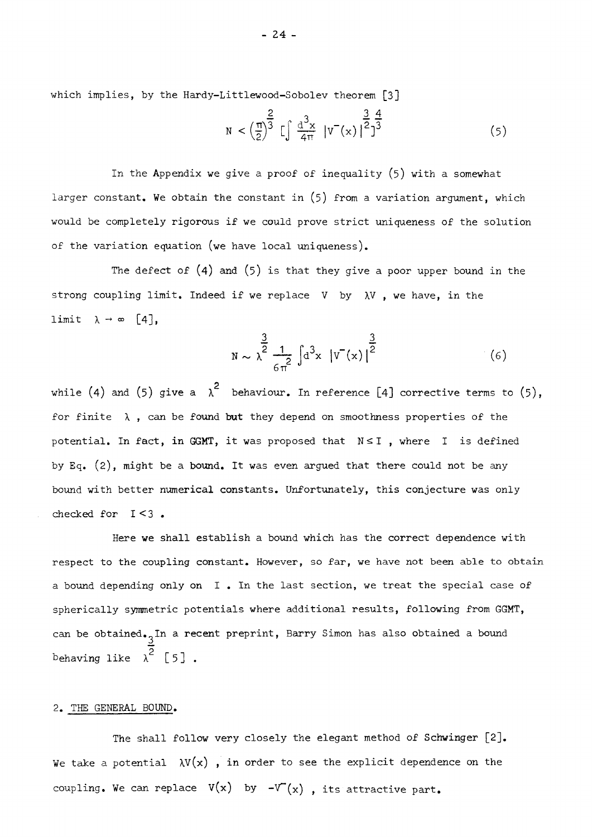which implies, by the Hardy-Littlewood-Sobolev theorem [3]

$$
N < \left(\frac{\pi}{2}\right)^{\frac{2}{3}} \left[\int \frac{d^3x}{4\pi} \left|v^-(x)\right|^{\frac{3}{2}}\right]^{\frac{4}{3}} \tag{5}
$$

In the Appendix we give a proof of inequality (5) with a somewhat larger constant. We obtain the constant in (5) from a variation argument, which would be completely rigorous if we could prove strict uniqueness of the solution of the variation equation (we have local uniqueness).

The defect of  $(4)$  and  $(5)$  is that they give a poor upper bound in the strong coupling limit. Indeed if we replace V by  $\lambda V$ , we have, in the  $limit \ \ \lambda \rightarrow \infty \ \ [4],$ 

$$
N \sim \lambda^{\frac{3}{2}} \frac{1}{6\pi^2} \int d^3x \left[ V^-(x) \right]^{\frac{3}{2}} \tag{6}
$$

while (4) and (5) give a  $\lambda^2$  behaviour. In reference [4] corrective terms to (5), for finite  $\lambda$ , can be found but they depend on smoothness properties of the potential. In fact, in GGMT, it was proposed that  $N \leq I$ , where I is defined by Eq. (2), might be a bound. It was even argued that there could not be any bound with better numerical constants. Unfortunately, this conjecture was only

can be obtained. $\Delta$ behaving like  $\lambda^2$  [5].

#### 2. THE GENERAL BOUND.

The shall follow very closely the elegant method of Schwinger [2]. We take a potential  $\lambda V(x)$ , in order to see the explicit dependence on the coupling. We can replace **v(x)** by **-\Γ**(χ) , its attractive part.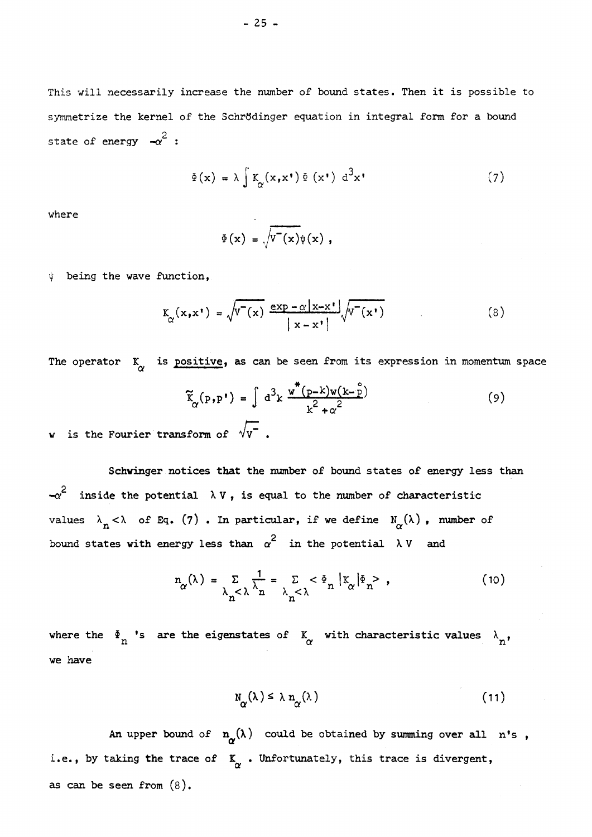**This will necessarily increase the number of bound states. Then it is possible to symmetrize the kernel of the Schrtfdinger equation in integral form for a bound**  2 **state of energy -o? :** 

$$
\Phi(\mathbf{x}) = \lambda \int K_{\alpha}(\mathbf{x}, \mathbf{x}^{\dagger}) \Phi(\mathbf{x}^{\dagger}) d^{3} \mathbf{x}^{\dagger}
$$
 (7)

**where** 

$$
\Phi(x) = \sqrt{\Psi^-(x)}\Psi(x) ,
$$

ψ **being the wave function,** 

$$
K_{\alpha}(x, x^{\dagger}) = \sqrt{v^-(x)} \frac{\exp(-\alpha |x - x^{\dagger})}{|x - x^{\dagger}|} \sqrt{v^-(x^{\dagger})}
$$
(8)

The operator  $K_{\sim}$  is **positive**, as can be seen from its expression in momentum space

$$
\widetilde{\mathbf{k}}_{\alpha}(\mathbf{p}, \mathbf{p'}) = \int d^{3}k \frac{\mathbf{w}^{*}(\mathbf{p}-\mathbf{k})\mathbf{w}(\mathbf{k}-\hat{\mathbf{p}})}{\mathbf{k}^{2} + \alpha^{2}}
$$
(9)

**w** is the Fourier transform of  $\forall V$ .

**Schvinger notices that the number of bound states of energy less than**  2 *\*-<y* **inside the potential V , is equal to the number of characteristic**  values  $\lambda_n < \lambda$  of Eq. (7) . In particular, if we define  $N_\alpha(\lambda)$ , number of 2 **bound states with energy less than** *a* **in the potential V and** 

$$
n_{\alpha}(\lambda) = \sum_{\lambda_n < \lambda} \frac{1}{\lambda_n} = \sum_{\lambda_n < \lambda} < \Phi_n |X_{\alpha}| = \Phi_n
$$
 (10)

where the  $\Phi$  's are the eigenstates of  $\begin{array}{c} K \\ \alpha \end{array}$  with characteristic values  $\begin{array}{c} \lambda \\ n \end{array}$ , **we have** 

$$
N_{\alpha}(\lambda) \leq \lambda n_{\alpha}(\lambda) \tag{11}
$$

An upper bound of  $n_{\alpha}(\lambda)$  could be obtained by summing over all n<sup>t</sup>s, i.e., by taking the trace of  $K_{\alpha}$ . Unfortunately, this trace is divergent, **as can be seen from** (8).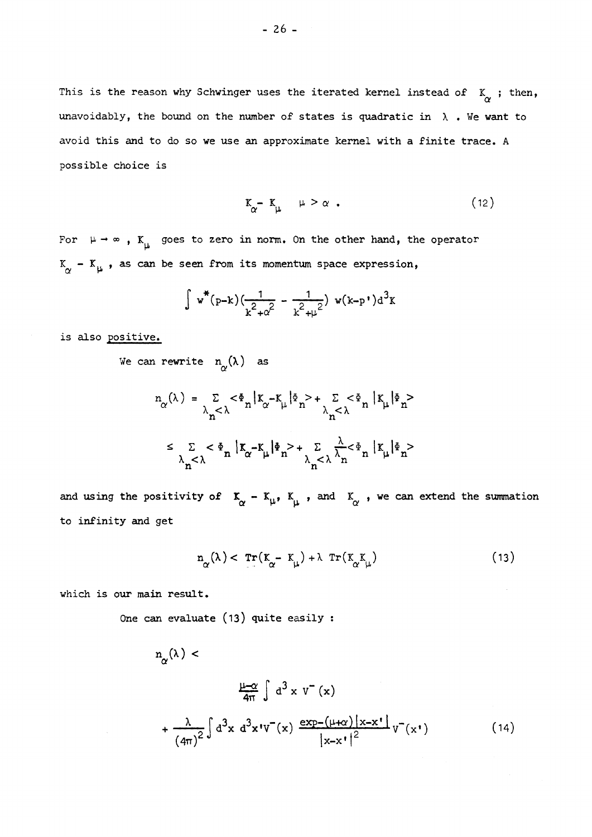This is the reason why Schwinger uses the iterated kernel instead of  $K_{\alpha}$ ; then, unavoidably, the bound on the number of states is quadratic in  $\lambda$  . We want to **avoid this and to do so we use an approximate kernel with a finite trace. A possible choice is** 

$$
K_{\alpha} - K_{\mu} \quad \mu > \alpha \quad . \tag{12}
$$

**For μ -\* » <sup>f</sup> Κ goes to zero in norm. On the other hand, the operator μ**   $K_{\alpha}$  –  $K_{\mu}$ , as can be seen from its momentum space expression,

$$
\int w^*(p-k)\left(\frac{1}{k^2+\alpha^2} - \frac{1}{k^2+\mu^2}\right) w(k-p^*)d^3k
$$

**is also positive.** 

We can rewrite  $n_{\alpha}(\lambda)$  as

$$
n_{\alpha}(\lambda) = \sum_{\lambda_n < \lambda} \langle \Phi_n | K_{\alpha} - K_{\mu} | \Phi_n \rangle + \sum_{\lambda_n < \lambda} \langle \Phi_n | K_{\mu} | \Phi_n \rangle
$$
  

$$
\leq \sum_{\lambda_n < \lambda} \langle \Phi_n | K_{\alpha} - K_{\mu} | \Phi_n \rangle + \sum_{\lambda_n < \lambda} \frac{\lambda}{\lambda_n} \langle \Phi_n | K_{\mu} | \Phi_n \rangle
$$

**and using the positivity of** *T.* **- Kl l <sup>f</sup> I , and , we can extend the summation**  or » με ο «με ο «με ο «με ο «με ο «με ο «με ο «με ο «με ο «με ο «με ο «με ο «με ο «με ο «με ο «με ο «με ο «με <br>Ο «με ο «με ο «με ο «με ο «με ο «με ο «με ο «με ο «με ο «με ο «με ο «με ο «με ο «με ο «με ο «με ο «με ο «με ο **to infinity and get** 

$$
n_{\alpha}(\lambda) < \operatorname{Tr}(K_{\alpha} - K_{\mu}) + \lambda \operatorname{Tr}(K_{\alpha}K_{\mu}) \tag{13}
$$

**which is our main result.** 

**One can evaluate (13 ) quite easily :** 

$$
n_{\alpha}(\lambda) < \frac{\mu_{\alpha}(\lambda)}{4\pi} \int d^{3}x \, v^{-(x)} \left( \frac{\mu_{\alpha}(\lambda)}{4\pi} \right)^{2} d^{3}x \, d^{3}x \, v^{-(x)} \frac{\exp_{-}(\mu_{\alpha}) |x - x|}{|x - x|^{2}} v^{-(x^{+})} \qquad (14)
$$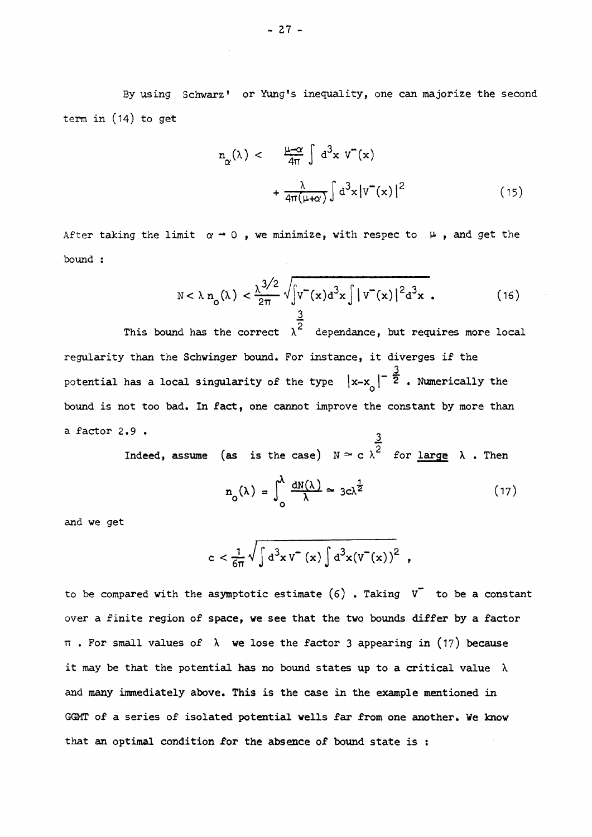**By using Schwarz1 or Yung's inequality, one can majorize the second term in (14) to get** 

$$
m_{\alpha}(\lambda) < \frac{\mu - \alpha}{4\pi} \int d^{3}x \, v^{2}(x) + \frac{\lambda}{4\pi(\mu + \alpha)} \int d^{3}x \, |v^{2}(x)|^{2} \tag{15}
$$

**After taking the limit** *a — Q* **, we minimize, with respec to μ , and get the bound :** 

$$
N < \lambda n_0(\lambda) < \frac{\lambda^{3/2}}{2\pi} \sqrt{\int v^-(x) d^3x \int |v^-(x)|^2 d^3x}.
$$
 (16)

**2**  regularity than the Schwinger bound. For instance, it diverges if the potential has a local singularity of the type  $|x-x_{n}|^{-\frac{3}{2}}$ . Numerically the bound is not too bad. In fact, one cannot improve the constant by more than

**a factor 2.9 . 3 Indeed, assume (as is the case) c for large λ · Then** 

$$
n_o(\lambda) = \int_0^{\lambda} \frac{dN(\lambda)}{\lambda} \approx 3c\lambda^{\frac{1}{2}}
$$
 (17)

**and we get** 

$$
c < \frac{1}{6\pi} \sqrt{\int d^3x \, v^-(x) \int d^3x (v^-(x))^2},
$$

**to be compared with the asymptotic estimate (6) . Taking V~ to be a constant over a finite region of space, we see that the two bounds differ by a factor . For small values of we lose the factor 3 appearing in (17 ) because it may be that the potential has no bound states up to a critical value λ and many immediately above. This is the case in the example mentioned in GGMT of a series of isolated potential wells far from one another. We know that an optimal condition for the absence of bound state is :**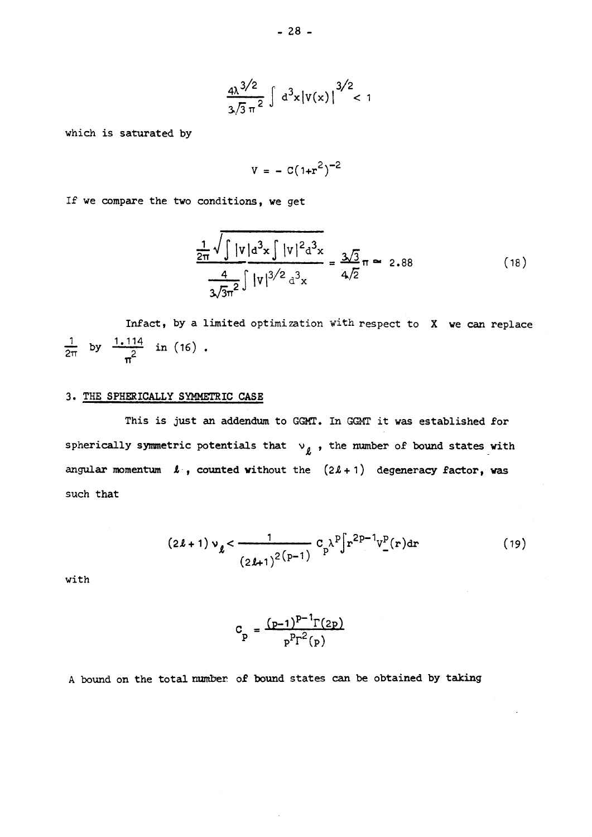$$
\frac{4\lambda^{3/2}}{3\sqrt{3}\pi^2} \int d^3x |v(x)|^{3/2} < 1
$$

**which is saturated by** 

$$
V = - C(1+r^2)^{-2}
$$

**If we compare the two conditions, we get** 

$$
\frac{\frac{1}{2\pi}\sqrt{\int |v|a^{3}x \int |v|^{2}a^{3}x}}{\frac{4}{3\sqrt{3}\pi^{2}}\int |v|^{3/2}a^{3}x} = \frac{3\sqrt{3}}{4\sqrt{2}}\pi \approx 2.88
$$
 (18)

Infact, by a limited optimization with respect to X we can replace  $\frac{1}{2}$  by  $\frac{1.114}{1.114}$  in (16) **TT** 

# **3. THE SPHERICALLY SYMMETRIC CASE**

**This is just an addendum to GGMT. In GGMT it was established for**  spherically symmetric potentials that  $v_{\ell}$ , the number of bound states with **angular momentum**  $\ell$ , counted without the  $(2\ell + 1)$  degeneracy factor, was **such that** 

$$
(2\ell + 1) v_{\ell} < \frac{1}{(2\ell + 1)^{2(p-1)}} C_{p} \lambda^{p} \int r^{2p-1} v_{-}^{p}(r) dr
$$
 (19)

**with** 

$$
C_p = \frac{(p-1)^{p-1} \Gamma(2p)}{p^p \Gamma^2(p)}
$$

A **bound on the total number of bound states can be obtained by taking**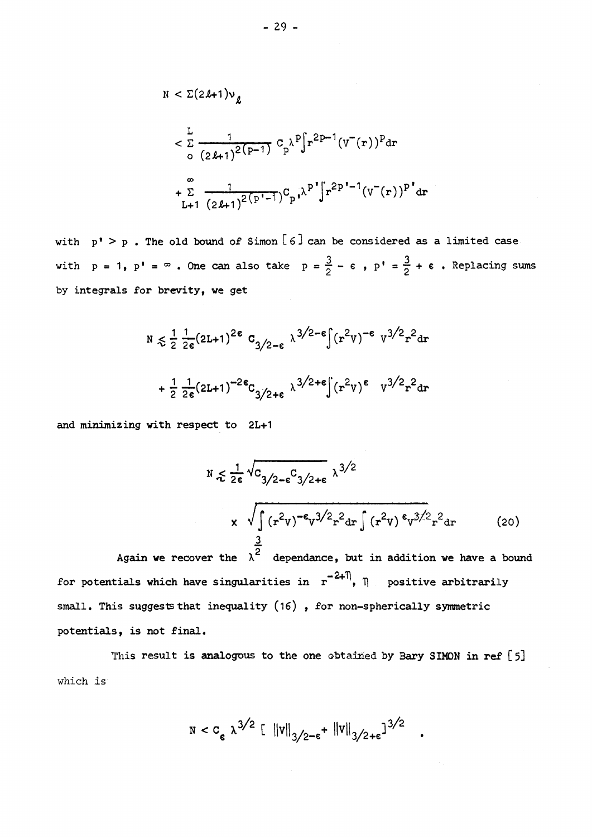$$
N < \Sigma (2l+1)v_{\ell}
$$
  
\n
$$
< \frac{L}{\Sigma} \frac{1}{(2l+1)^{2(p-1)}} C_{p} \lambda^{p} \int r^{2p-1} (v^{(r)})^{p} dr
$$
  
\n
$$
+ \sum_{L+1}^{\infty} \frac{1}{(2l+1)^{2(p^{i}-1})} C_{p} \lambda^{p} \int r^{2p^{i}-1} (v^{(r)})^{p^{i}} dr
$$

**with <sup>1</sup> > . The old bound of Simon [ β] can be considered as a limited case**  with  $p = 1$ ,  $p' = \infty$ . One can also take  $p = \frac{3}{2} - \varepsilon$ ,  $p' = \frac{3}{2} + \varepsilon$ . Replacing sums  $\mathbf{b}$  integrals for brevity, we get

$$
N \le \frac{1}{2} \frac{1}{2\epsilon} (2L+1)^{2\epsilon} C_{3/2-\epsilon} \lambda^{3/2-\epsilon} \int (r^2 v)^{-\epsilon} v^{3/2} r^2 dr
$$
  
+  $\frac{1}{2} \frac{1}{2\epsilon} (2L+1)^{-2\epsilon} C_{3/2+\epsilon} \lambda^{3/2+\epsilon} \int (r^2 v)^{\epsilon} v^{3/2} r^2 dr$ 

**and minimizing with respect to 2L+1** 

$$
N \le \frac{1}{2\epsilon} \sqrt{C_{3/2-\epsilon} C_{3/2+\epsilon}} \lambda^{3/2}
$$
  
 
$$
\times \sqrt{\int (r^2 v)^{-\epsilon} v^{3/2} r^2 dr \int (r^2 v)^{\epsilon} v^{3/2} r^2 dr}
$$
 (20)

**2\***  for potentials which have singularities in  $\mathbf{r}^{-2+1}$ ,  $\eta$  positive arbitrarily small. This suggests that inequality (16), for non-spherically symmetric **small. This suggests that inequality (16) , for non-spherically symmetric** 

This result is analogous to the one obtained by Bary SIMON in ref [5] which **is** 

$$
N < C_{\epsilon} \ \lambda^{3/2} \left[ \|v\|_{3/2-\epsilon} + \|v\|_{3/2+\epsilon} \right]^{3/2} .
$$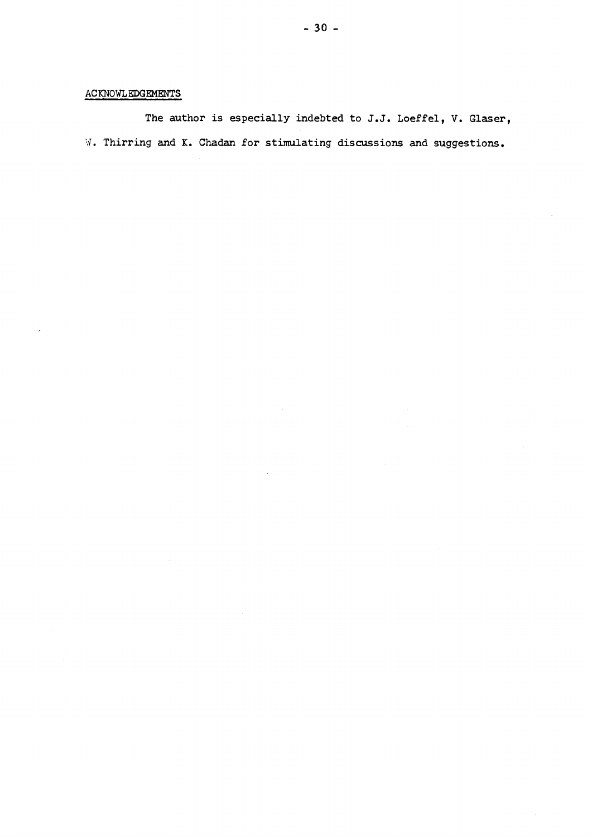# **ACKNOWLEDGEMENTS**

**The author is especially indebted to J.J. Loeffel, V. Glaser,**  W. **Thirring and K. Chadan for stimulating discussions and suggestions.**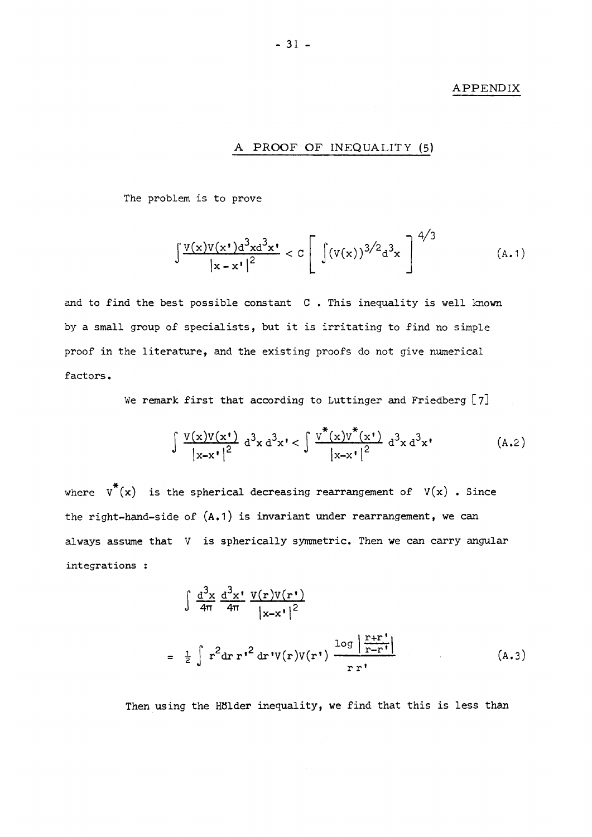#### **APPENDIX**

# **A PROOF OF INEQUALITY (5)**

The problem is to prove

$$
\int \frac{v(x)v(x^{\prime})d^{3}xd^{3}x^{\prime}}{|x-x^{\prime}|^{2}} < c \left[\int (v(x))^{3/2}d^{3}x\right]^{4/3}
$$
 (A.1)

and to find the best possible constant C . This inequality is well known by a small group of specialists, but it is irritating to find no simple proof in the literature, and the existing proofs do not give numerical factors.

We remark first that according to Luttinger and Friedberg **[ 7 ]** 

$$
\int \frac{v(x)v(x^*)}{|x-x^*|^2} d^3x d^3x^* < \int \frac{v^*(x)v^*(x^*)}{|x-x^*|^2} d^3x d^3x^* \qquad (A.2)
$$

where  $v^*(x)$  is the spherical decreasing rearrangement of  $V(x)$  . Since the right-hand-side of  $(A.1)$  is invariant under rearrangement, we can always assume that V is spherically symmetric. Then we can carry angular integrations :

$$
\int \frac{d^3x}{4\pi} \frac{d^3x}{4\pi} \frac{V(r)V(r^{\prime})}{|x-x^{\prime}|^2}
$$
  
= 
$$
\frac{1}{2} \int r^2 dr r^{\prime 2} dr'V(r)V(r^{\prime}) \frac{\log|\frac{r+r^{\prime}}{r-r^{\prime}|}}{r r^{\prime}}
$$
 (A.3)

Then using the Hölder inequality, we find that this is less than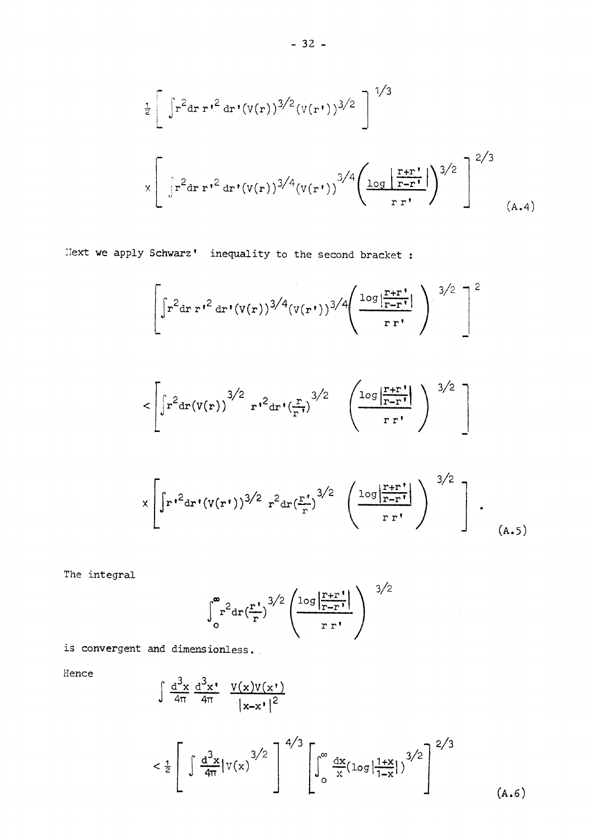$$
\frac{1}{2} \left[ \int r^2 dr \, r^2 dr' (v(r))^{3/2} (v(r^{\prime}))^{3/2} \right]^{1/3}
$$
  

$$
\times \left[ \int r^2 dr \, r^2 dr' (v(r))^{3/4} (v(r^{\prime}))^{3/4} \left( \frac{\log \left| \frac{r+r^{\prime}}{r-r^{\prime}} \right|}{r r^{\prime}} \right)^{3/2} \right]^{2/3}
$$
 (A.4)

**llext we apply Schwarz' inequality to the second bracket :** 

$$
\left[\int r^{2} dr r^{r^{2}} dr'(v(r))^{3/4} (v(r^{r}))^{3/4} \left(\frac{\log |\frac{r+r^{r}}{r-r^{r}}|}{r r^{r}}\right)^{3/2}\right]^{2}
$$

$$
<\left[\int r^2 dr \left(v(r)\right)^{3/2} r'^2 dr' \left(\frac{r}{r'}\right)^{3/2} \left(\frac{\log \left|\frac{r+r'}{r-r'}\right|}{r r'}\right)^{3/2}\right]
$$

$$
\times \left[ \int r^2 dr' (v(r'))^{3/2} r^2 dr \left( \frac{r'}{r} \right)^{3/2} \left( \frac{\log \left| \frac{r+r'}{r-r'} \right|}{r r'} \right)^{3/2} \right].
$$
\n(A.5)

The integral

$$
\int_{0}^{\infty} r^{2} dr \left(\frac{r!}{r}\right)^{3/2} \left(\frac{\log\left|\frac{r+r}{r-r!}\right|}{r r!}\right)^{3/2}
$$

is convergent and dimensionless.

Hence

$$
\int \frac{d^3x}{4\pi} \frac{d^3x}{4\pi} \frac{v(x)v(x)}{|x-x'|^2}
$$

$$
< \frac{1}{2} \left[ \int \frac{d^3 x}{4\pi} |v(x)|^{3/2} \right]^{4/3} \left[ \int_0^\infty \frac{dx}{x} (\log |\frac{1+x}{1-x}|)^{3/2} \right]^{2/3} \tag{A.6}
$$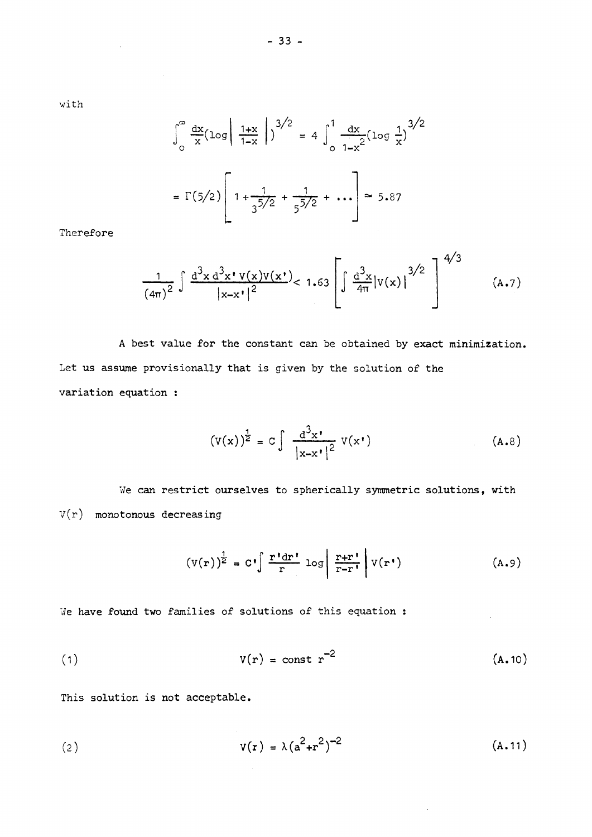$\sim$ 

$$
\int_{0}^{\infty} \frac{dx}{x} (\log \left| \frac{1+x}{1-x} \right|)^{3/2} = 4 \int_{0}^{1} \frac{dx}{1-x^{2}} (\log \frac{1}{x})^{3/2}
$$

$$
= \Gamma(5/2) \left[ 1 + \frac{1}{3^{5/2}} + \frac{1}{5^{5/2}} + \dots \right] \approx 5.87
$$

Therefore

$$
\frac{1}{(4\pi)^2} \int \frac{d^3x \, d^3x \, v(x)v(x)}{|x-x'|^2} < 1.63 \left[ \int \frac{d^3x}{4\pi} |v(x)|^{3/2} \right]^{4/3}
$$
 (A.7)

A best value for the constant can be obtained by exact minimization. Let us assume provisionally that is given by the solution of the variation equation :

$$
\left(\mathbf{V}(\mathbf{x})\right)^{\frac{1}{2}} = \mathbf{C} \int \frac{\mathrm{d}^3 \mathbf{x}^{\prime}}{\left|\mathbf{x} - \mathbf{x}^{\prime}\right|^2} \mathbf{V}(\mathbf{x}^{\prime}) \tag{A.8}
$$

We can restrict ourselves to spherically symmetric solutions, with  $V(r)$  monotonous decreasing

$$
\left(V(r)\right)^{\frac{1}{2}} = C^{\bullet} \int \frac{r^{\bullet} dr^{\bullet}}{r} \log \left| \frac{r+r^{\bullet}}{r-r^{\bullet}} \right| V(r^{\bullet}) \tag{A.9}
$$

We have found two families of solutions of this equation :

$$
V(r) = const r^{-2}
$$
 (A.10)

This solution is not acceptable.

(2) 
$$
V(r) = \lambda (a^2 + r^2)^{-2}
$$
 (A.11)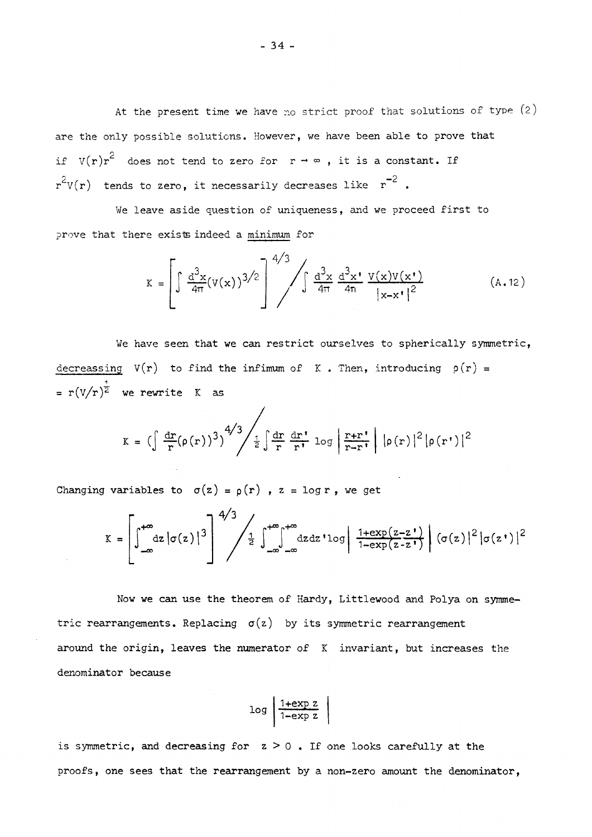At the present time we have no strict proof that solutions of type (2) are the only possible solutions. However, we have been able to prove that if  $V(r)r^2$  does not tend to zero for  $r \rightarrow \infty$ , it is a constant. If  $r^{\epsilon}V(r)$  tends to zero, it necessarily decreases like  $r^{\epsilon}$  .

We leave aside question of uniqueness, and we proceed first to prove that there exists indeed a minimum for

$$
K = \left[\int \frac{d^3x}{4\pi} (v(x))^{3/2}\right]^{4/3} \int \int \frac{d^3x}{4\pi} \frac{d^3x}{4\pi} \frac{v(x)v(x')}{|x-x'|^2}
$$
(A.12)

We have seen that we can restrict ourselves to spherically symmetric, decreassing  $V(r)$  to find the infimum of K. Then, introducing  $p(r)$  = =  $r(V/r)^{\frac{1}{2}}$  we rewrite K as

$$
K = \left(\int \frac{dr}{r} (\rho(r))^3 \right)^{4/3} \left/ \frac{1}{2} \int \frac{dr}{r} \frac{dr'}{r} \log \left| \frac{r+r'}{r-r'} \right| |\rho(r)|^2 |\rho(r')|^2
$$

Changing variables to  $\sigma(z) = \rho(r)$ ,  $z = \log r$ , we get

$$
K = \left[\int_{-\infty}^{+\infty} dz \left|\sigma(z)\right|^3\right]^{4/3} \left/ \frac{1}{2} \int_{-\infty}^{+\infty} dz dz' \log\left|\frac{1 + \exp(z - z')}{1 - \exp(z - z')}\right| \left(\sigma(z)\right)^2 \left|\sigma(z')\right|^2
$$

Now we can use the theorem of Hardy, Littlewood and Polya on symmetric rearrangements. Replacing  $\sigma(z)$  by its symmetric rearrangement around the origin, leaves the numerator of  $K$  invariant, but increases the denominator because

$$
\log \left| \frac{\text{1+exp } z}{\text{1-exp } z} \right|
$$

is symmetric, and decreasing for  $z > 0$ . If one looks carefully at the proofs, one sees that the rearrangement by a non-zero amount the denominator,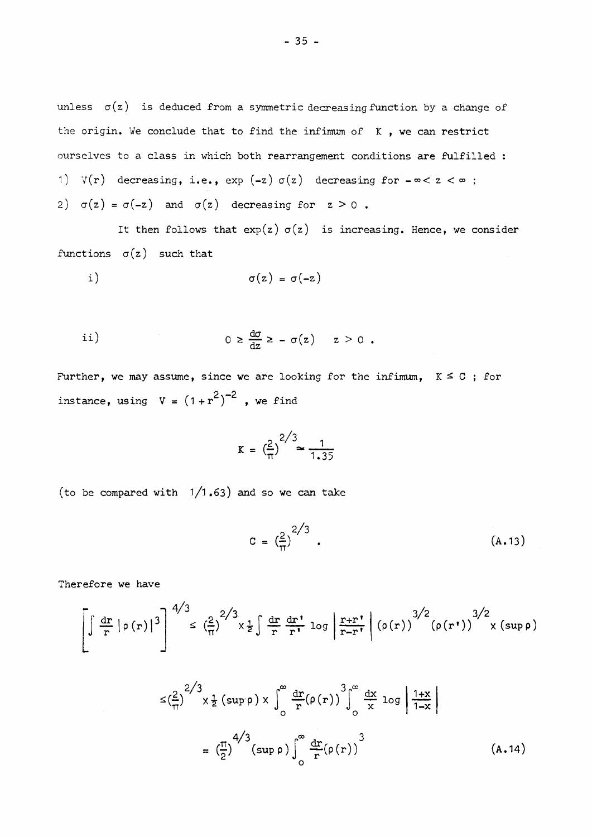unless  $\sigma(z)$  is deduced from a symmetric decreasing function by a change of the origin. We conclude that to find the infimum of  $K$ , we can restrict ourselves to a class in which both rearrangement conditions are fulfilled : 1)  $V(r)$  decreasing, i.e.,  $exp(-z) \sigma(z)$  decreasing for  $-\infty < z < \infty$ ; 2)  $\sigma(z) = \sigma(-z)$  and  $\sigma(z)$  decreasing for  $z > 0$ .

It then follows that  $exp(z)$   $\sigma(z)$  is increasing. Hence, we consider functions  $\sigma(z)$  such that

i) 
$$
\sigma(z) = \sigma(-z)
$$

ii) 
$$
0 \geq \frac{d\sigma}{dz} \geq -\sigma(z) \quad z > 0.
$$

Further, we may assume, since we are looking for the infimum,  $K \leq C$ ; for **2 - 2**  instance, using  $V = (1 + r)$ , we find

$$
K = \left(\frac{2}{\pi}\right)^{2/3} \approx \frac{1}{1.35}
$$

(to be compared with  $1/1.63$ ) and so we can take

$$
C = \left(\frac{2}{\pi}\right)^{2/3} \tag{A.13}
$$

Therefore we have

$$
\left[\int \frac{dr}{r} \left|\rho(r)\right|^3\right]^{4/3} \leq \left(\frac{2}{\pi}\right)^{2/3} \times \frac{1}{2} \int \frac{dr}{r} \frac{dr}{r!} \log \left|\frac{r+r}{r-r!}\right| \left(\rho(r)\right)^{3/2} \left(\rho(r!)\right)^{3/2} \times \left(\sup \rho\right)
$$

$$
\leq \left(\frac{2}{\pi}\right)^{2/3} \times \frac{1}{2} \left(\sup \rho\right) \times \int_{0}^{\infty} \frac{dr}{r} \left(\rho(r)\right)^{3} \Big|_{0}^{\infty} \frac{dx}{x} \log \left|\frac{1+x}{1-x}\right|
$$

$$
= \left(\frac{\pi}{2}\right)^{4/3} \left(\sup \rho\right) \int_{0}^{\infty} \frac{dr}{r} \left(\rho(r)\right)^{3} \tag{A.14}
$$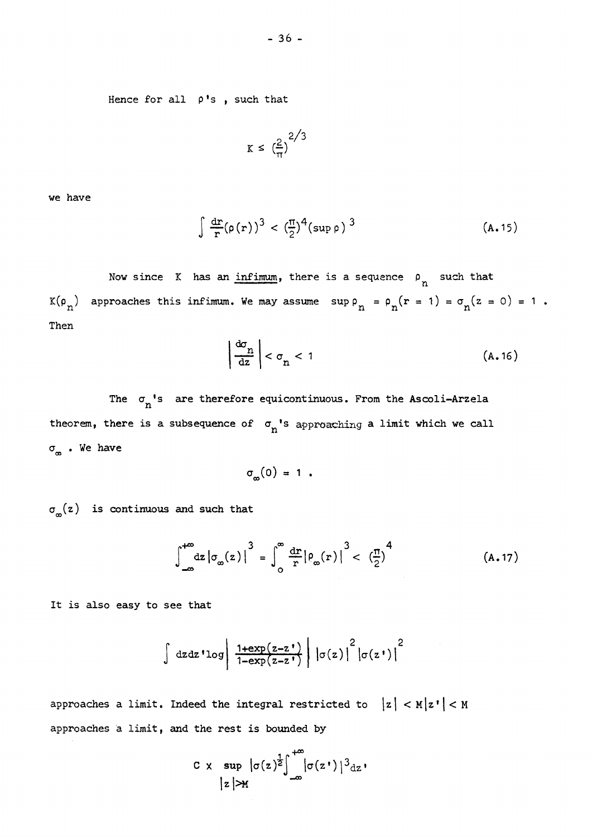**Hence for all p's , such that** 

$$
K \leq \left(\frac{2}{\pi}\right)^{2/3}
$$

**we have** 

$$
\int \frac{d\mathbf{r}}{r} (\rho(r))^3 < \left(\frac{\pi}{2}\right)^4 (\sup \rho)^3 \tag{A.15}
$$

Now since K has an *infimum*, there is a sequence  $\rho_n$  such that  $K(\rho_n)$  approaches this infimum. We may assume  $\sup \rho_n = \rho_n(r = 1) = \sigma_n(z = 0) = 1$ . **Then** 

$$
\left|\frac{d\sigma_n}{dz}\right| < \sigma_n < 1\tag{A.16}
$$

**The <^ <sup>n</sup> , <sup>s</sup> are therefore equicontinuous. From the Ascoli-Arzela theorem, there is a subsequence of** *°<sup>n</sup> %s* approaching **a limit which we call · We have** 

 $\sigma_m(0) = 1$ .

<sub>∞</sub>(z) is continuous and such that

$$
\int_{-\infty}^{+\infty} dz \left| \sigma_{\infty}(z) \right|^3 = \int_{0}^{\infty} \frac{dr}{r} \left| \rho_{\infty}(r) \right|^3 < \left( \frac{\pi}{2} \right)^4 \tag{A.17}
$$

**It is also easy to see that** 

$$
\int dz dz' \log \left| \frac{1+ \exp(z-z')}{1-\exp(z-z')} \right| \left| \sigma(z) \right|^2 \left| \sigma(z') \right|^2
$$

approaches a limit. Indeed the integral restricted to  $|z| < M |z' | < M$ **approaches à limit, and the rest is bounded by** 

$$
C \times \sup | \sigma(z)^{\frac{1}{2}} \int_{-\infty}^{+\infty} | \sigma(z^*) |^3 dz
$$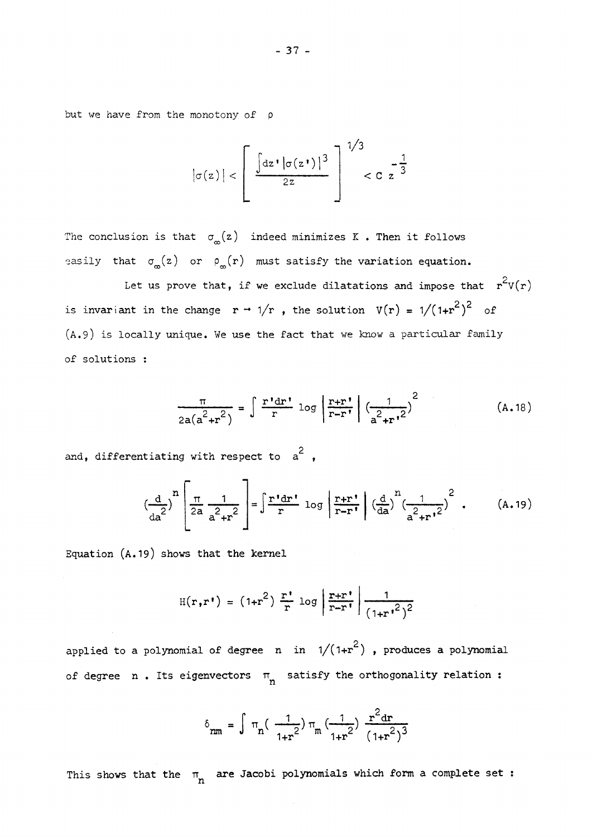but *we* have from the monotony of ρ

$$
|\sigma(z)| < \left[ \frac{\int dz \cdot |\sigma(z^{\star})|^3}{2z} \right]^{1/3} < C \cdot z^{-\frac{1}{3}}
$$

The conclusion is that  $\sigma_{\infty}(z)$  indeed minimizes K. Then it follows easily that  $\sigma_{\mathbf{m}}(z)$  or  $\rho_{\mathbf{m}}(r)$  must satisfy the variation equation.

 $2^{2}$ Let us prove that, if we exclude dilatations and impose that  $r$   $v(r)$ is invariant in the change  $r \rightarrow 1/r$ , the solution  $V(r) = 1/(1+r^2)^2$  of (A.9) is locally unique. We use the fact that we know a particular family  $\alpha$ , and that we know a particular family unique. We use that we know a particular family  $\alpha$ 

$$
\frac{\pi}{2a(a^2+r^2)} = \int \frac{r \cdot dr}{r} \log \left| \frac{r+r}{r-r} \right| \left( \frac{1}{a^2+r^2} \right)^2 \tag{A.18}
$$

2 and, differentiating with respect to a ,

$$
\left(\frac{\mathrm{d}}{\mathrm{d}a^{2}}\right)^{n} \left[\frac{\pi}{2a} \frac{1}{a^{2} + r^{2}}\right] = \int \frac{r^{4} \mathrm{d}r^{4}}{r} \log \left|\frac{r+r^{4}}{r-r^{4}}\right| \left(\frac{\mathrm{d}}{\mathrm{d}a}\right)^{n} \left(\frac{1}{a^{2} + r^{4}}\right)^{2} . \tag{A.19}
$$

Equation (A.19) shows that the kernel

 $\mathbf{r}$ 

$$
H(r,r') = (1+r^2) \frac{r'}{r} \log \left| \frac{r+r'}{r-r'} \right| \frac{1}{(1+r^2)^2}
$$

applied to a polynomial of degree n in  $1/(1+r^2)$ , produces a polynomial of degree n. Its eigenvectors  $\pi$  satisfy the orthogonality relation:

$$
\delta_{\mathbf{r}\mathbf{m}} = \int \pi_{\mathbf{n}} \left( \frac{1}{1+r^2} \right) \pi_{\mathbf{m}} \left( \frac{1}{1+r^2} \right) \frac{\mathbf{r}^2 \, \mathrm{d} \mathbf{r}}{\left( 1+r^2 \right)^3}
$$

**This shows that the are Jacobi polynomials which form a complete set :**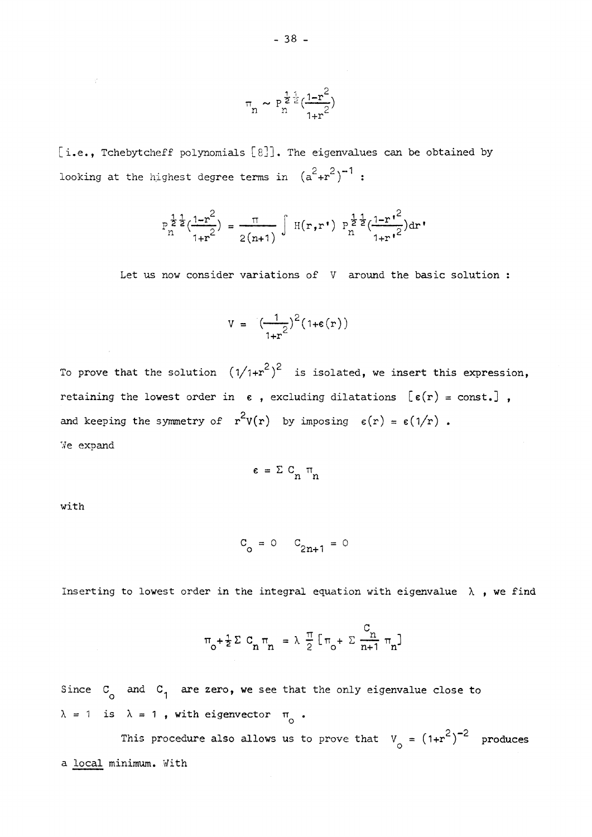$$
\pi_n \sim P_n^{\frac{1}{2}\frac{1}{2}}(\frac{1-r^2}{1+r^2})
$$

[i.e., Tchebytcheff polynomials [8]]. The eigenvalues can be obtained by  $2 \cdot 2 - 1$ rooking at the highest degree terms in  $(a + r)$  :

$$
P_{n}^{\frac{1}{2}\frac{1}{2}}(\frac{1-r^{2}}{1+r^{2}}) = \frac{\pi}{2(n+1)} \int H(r,r^{*}) P_{n}^{\frac{1}{2}\frac{1}{2}}(\frac{1-r^{2}}{1+r^{2}}) dr^{*}
$$

Let us now consider variations of V around the basic solution :

$$
V = \left(\frac{1}{1+r^2}\right)^2 (1+\varepsilon(r))
$$

 $2\sqrt{2}$  $\sum_{i=1}^{n}$  is the solution  $\sum_{i=1}^{n}$   $\sum_{i=1}^{n}$  is isolated, we insert this expression, retaining the lowest order in  $\epsilon$ , excluding dilatations  $[\epsilon(r) = \text{const.}]$ , 2., and keeping the symmetry of  $r \vee r$  by imposing  $\vee r$  =  $\vee \vee r$  . We expand

$$
\epsilon = \Sigma \, C_n \, \pi_n
$$

with

$$
C_0 = 0
$$
  $C_{2n+1} = 0$ 

Inserting to lowest order in the integral equation with eigenvalue  $\lambda$ , we find

$$
\pi_{0} + \frac{1}{2} \Sigma C_{n} \pi_{n} = \lambda \frac{\pi}{2} [\pi_{0} + \Sigma \frac{C_{n}}{n+1} \pi_{n}]
$$

Since  $C_{\alpha}$  and  $C_{1}$  are zero, we see that the only eigenvalue close to  $\lambda = 1$  is  $\lambda = 1$ , with eigenvector  $\pi_{0}$ . ο

This procedure also allows us to prove that v <sup>0</sup> = **0 <sup>+</sup> <sup>r</sup>** ) produces a local minimum. With the continuum continuum continuum continuum continuum continuum continuum continuum continuum continuum continuum continuum continuum continuum continuum continuum continuum continuum continuum contin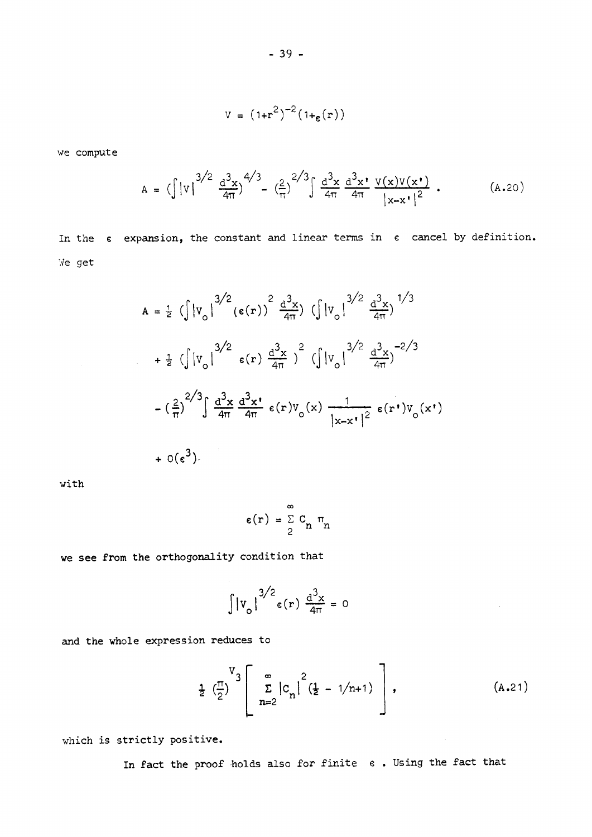$$
V = (1+r^2)^{-2} (1+_{\varepsilon}(r))
$$

we compute

$$
A = (\int |V|^{3/2} \frac{d^3 x}{4\pi})^{4/3} - (\frac{2}{\pi})^{2/3} \int \frac{d^3 x}{4\pi} \frac{d^3 x}{4\pi} \frac{V(x)V(x^*)}{|x-x^*|^2} .
$$
 (A.20)

In the  $\epsilon$  expansion, the constant and linear terms in  $\epsilon$  cancel by definition. Ve get

$$
A = \frac{1}{2} \left( \int |v_o|^{3/2} (\epsilon(r))^{2} \frac{d^{3}x}{4\pi} \right) \left( \int |v_o|^{3/2} \frac{d^{3}x}{4\pi} \right)^{1/3}
$$
  
+ 
$$
\frac{1}{2} \left( \int |v_o|^{3/2} \epsilon(r) \frac{d^{3}x}{4\pi} \right)^{2} \left( \int |v_o|^{3/2} \frac{d^{3}x}{4\pi} \right)^{-2/3}
$$
  
- 
$$
\left( \frac{2}{\pi} \right)^{2/3} \int \frac{d^{3}x}{4\pi} \frac{d^{3}x}{4\pi} \epsilon(r) v_o(x) \frac{1}{|x-x'|^{2}} \epsilon(r') v_o(x')
$$
  
+ 
$$
0(\epsilon^{3})
$$

with

$$
\epsilon(\mathbf{r}) = \sum_{2}^{\infty} \mathbf{C}_n \mathbf{\pi}_n
$$

we see from the orthogonality condition that

$$
\int |v_o|^{3/2} \epsilon(r) \frac{d^3 x}{4\pi} = 0
$$

and the whole expression reduces to

$$
\frac{1}{2} \left( \frac{\pi}{2} \right)^{V} \left[ \sum_{n=2}^{\infty} \left| c_n \right|^2 \left( \frac{1}{2} - 1/n + 1 \right) \right], \tag{A.21}
$$

 $\sim 10^7$ 

which is strictly positive.

In fact the proof holds also for finite  $\epsilon$ . Using the fact that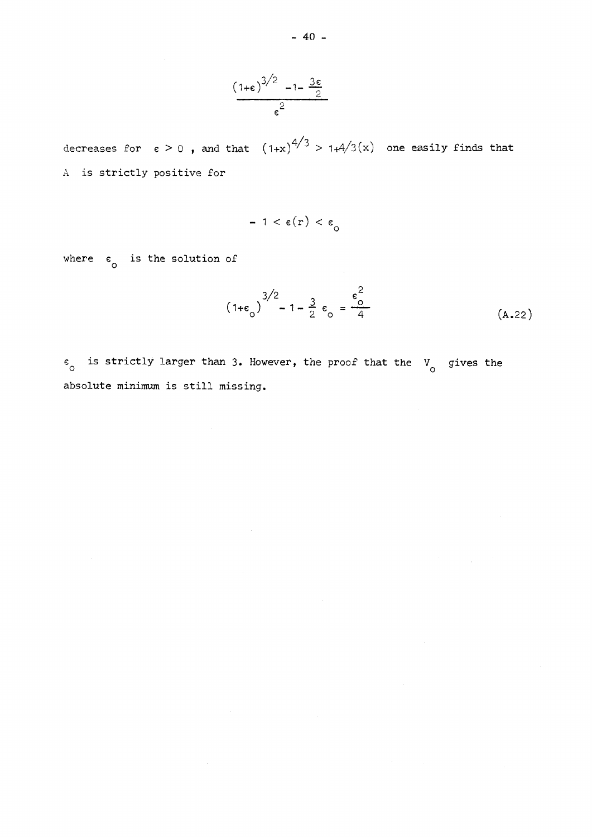$$
\frac{(1+\epsilon)^{3/2} - 1 - \frac{3\epsilon}{2}}{\epsilon^2}
$$

decreases for  $\epsilon > 0$  , and that  $(1+x)^{7/3} > 1 + 4/3(x)$  one easily finds that A is strictly positive for

$$
-1 < \varepsilon(r) < \varepsilon_{\Omega}
$$

where  $\epsilon_{\rm o}$  is the solution of

$$
(1+\epsilon_0)^{3/2} - 1 - \frac{3}{2} \epsilon_0 = \frac{\epsilon_0^2}{4}
$$
 (A.22)

 $e_0$  is strictly larger than 3. However, the proof that the V<sub>0</sub> gives the absolute minimum is still missing.